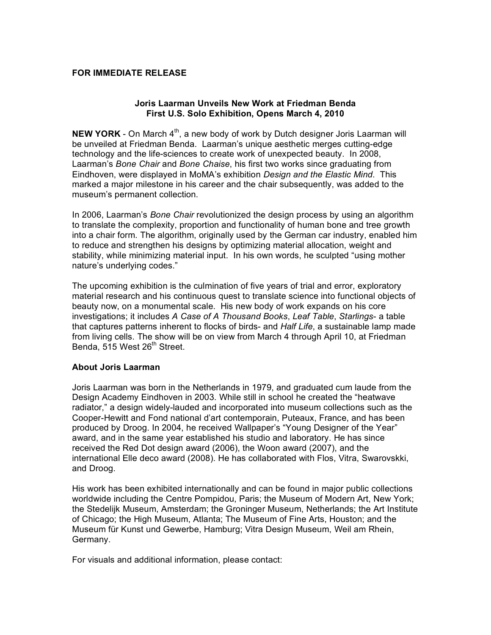## **FOR IMMEDIATE RELEASE**

## **Joris Laarman Unveils New Work at Friedman Benda First U.S. Solo Exhibition, Opens March 4, 2010**

**NEW YORK** - On March 4<sup>th</sup>, a new body of work by Dutch designer Joris Laarman will be unveiled at Friedman Benda. Laarman's unique aesthetic merges cutting-edge technology and the life-sciences to create work of unexpected beauty. In 2008, Laarman's *Bone Chair* and *Bone Chaise*, his first two works since graduating from Eindhoven, were displayed in MoMA's exhibition *Design and the Elastic Mind*. This marked a major milestone in his career and the chair subsequently, was added to the museum's permanent collection.

In 2006, Laarman's *Bone Chair* revolutionized the design process by using an algorithm to translate the complexity, proportion and functionality of human bone and tree growth into a chair form. The algorithm, originally used by the German car industry, enabled him to reduce and strengthen his designs by optimizing material allocation, weight and stability, while minimizing material input. In his own words, he sculpted "using mother nature's underlying codes."

The upcoming exhibition is the culmination of five years of trial and error, exploratory material research and his continuous quest to translate science into functional objects of beauty now, on a monumental scale. His new body of work expands on his core investigations; it includes *A Case of A Thousand Books*, *Leaf Table*, *Starlings*- a table that captures patterns inherent to flocks of birds- and *Half Life*, a sustainable lamp made from living cells. The show will be on view from March 4 through April 10, at Friedman Benda, 515 West 26<sup>th</sup> Street.

## **About Joris Laarman**

Joris Laarman was born in the Netherlands in 1979, and graduated cum laude from the Design Academy Eindhoven in 2003. While still in school he created the "heatwave radiator," a design widely-lauded and incorporated into museum collections such as the Cooper-Hewitt and Fond national d'art contemporain, Puteaux, France, and has been produced by Droog. In 2004, he received Wallpaper's "Young Designer of the Year" award, and in the same year established his studio and laboratory. He has since received the Red Dot design award (2006), the Woon award (2007), and the international Elle deco award (2008). He has collaborated with Flos, Vitra, Swarovskki, and Droog.

His work has been exhibited internationally and can be found in major public collections worldwide including the Centre Pompidou, Paris; the Museum of Modern Art, New York; the Stedelijk Museum, Amsterdam; the Groninger Museum, Netherlands; the Art Institute of Chicago; the High Museum, Atlanta; The Museum of Fine Arts, Houston; and the Museum für Kunst und Gewerbe, Hamburg; Vitra Design Museum, Weil am Rhein, Germany.

For visuals and additional information, please contact: